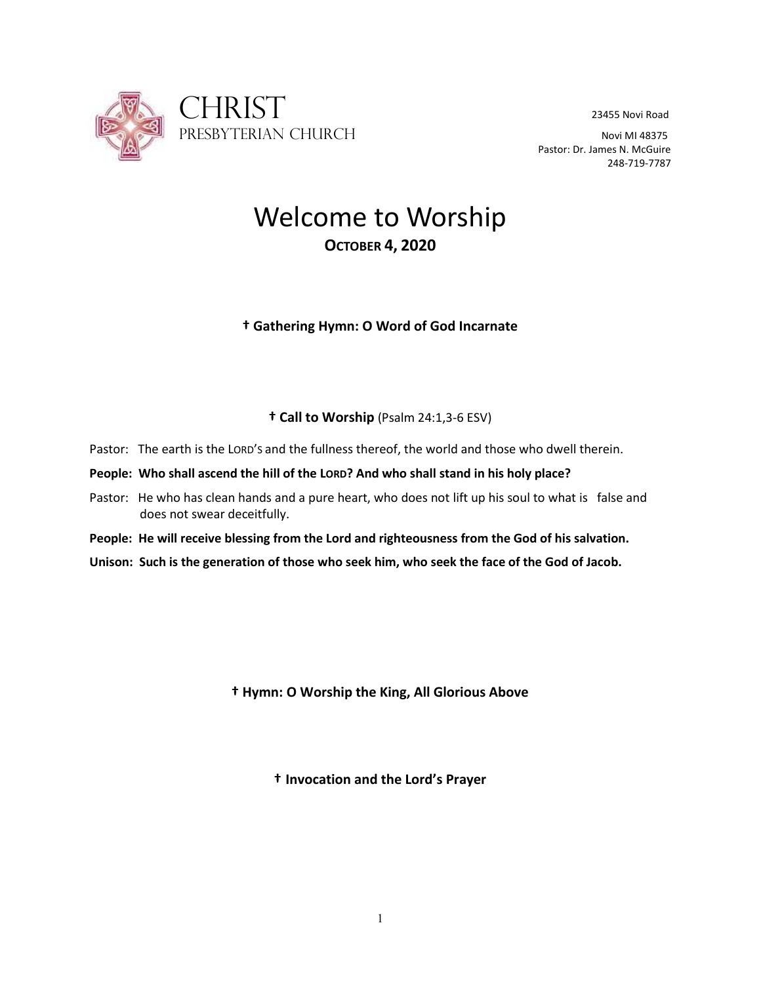

Pastor: Dr. James N. McGuire 248-719-7787

# Welcome to Worship **OCTOBER 4, 2020**

# **† Gathering Hymn: O Word of God Incarnate**

# **† Call to Worship** (Psalm 24:1,3-6 ESV)

- Pastor: The earth is the LORD'S and the fullness thereof, the world and those who dwell therein.
- **People: Who shall ascend the hill of the LORD? And who shall stand in his holy place?**
- Pastor: He who has clean hands and a pure heart, who does not lift up his soul to what is false and does not swear deceitfully.
- **People: He will receive blessing from the Lord and righteousness from the God of his salvation.**
- **Unison: Such is the generation of those who seek him, who seek the face of the God of Jacob.**

**† Hymn: O Worship the King, All Glorious Above**

**† Invocation and the Lord's Prayer**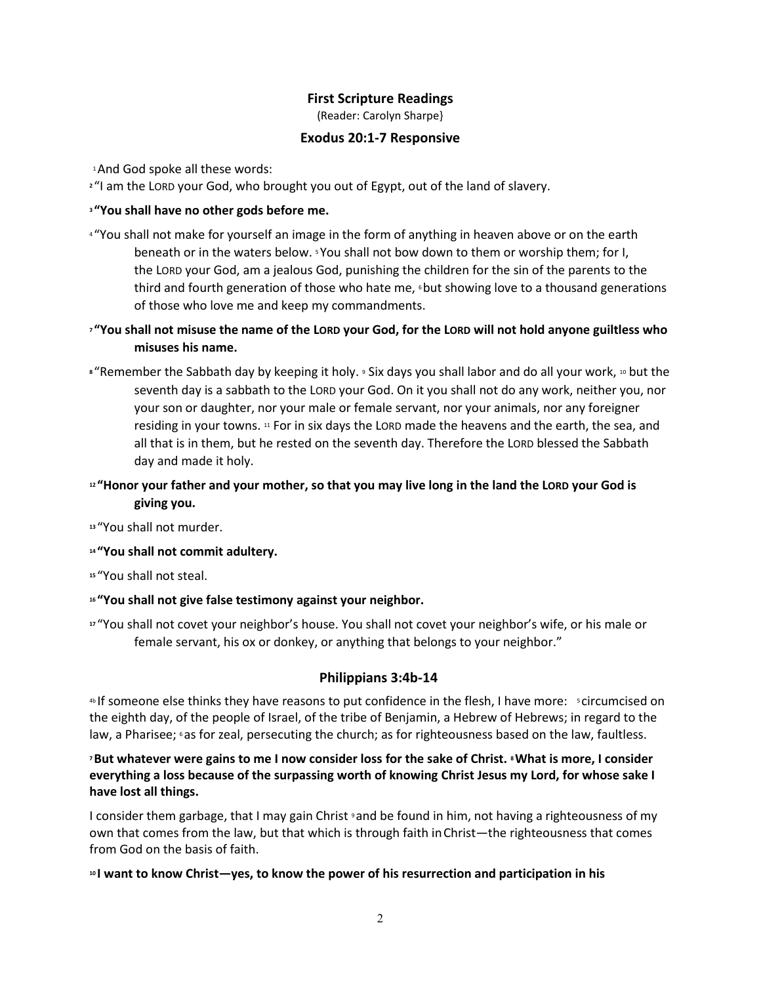## **First Scripture Readings**

(Reader: Carolyn Sharpe}

## **Exodus 20:1-7 Responsive**

1And God spoke all these words:

**<sup>2</sup>** "I am the LORD your God, who brought you out of Egypt, out of the land of slavery.

## **<sup>3</sup> "You shall have no other gods before me.**

- <sup>4</sup> "You shall not make for yourself an image in the form of anything in heaven above or on the earth beneath or in the waters below. <sup>5</sup> You shall not bow down to them or worship them; for I, the LORD your God, am a jealous God, punishing the children for the sin of the parents to the third and fourth generation of those who hate me, *but showing love to a thousand generations* of those who love me and keep my commandments.
- **<sup>7</sup> "You shall not misuse the name of the LORD your God, for the LORD will not hold anyone guiltless who misuses his name.**
- **8** "Remember the Sabbath day by keeping it holy. **9 Six days you shall labor and do all your work, 10 but the** seventh day is a sabbath to the LORD your God. On it you shall not do any work, neither you, nor your son or daughter, nor your male or female servant, nor your animals, nor any foreigner residing in your towns. <sup>11</sup> For in six days the LORD made the heavens and the earth, the sea, and all that is in them, but he rested on the seventh day. Therefore the LORD blessed the Sabbath day and made it holy.

# **<sup>12</sup> "Honor your father and your mother, so that you may live long in the land the LORD your God is giving you.**

**<sup>13</sup>** "You shall not murder.

**<sup>14</sup> "You shall not commit adultery.**

**<sup>15</sup>** "You shall not steal.

## **<sup>16</sup> "You shall not give false testimony against your neighbor.**

**<sup>17</sup>** "You shall not covet your neighbor's house. You shall not covet your neighbor's wife, or his male or female servant, his ox or donkey, or anything that belongs to your neighbor."

# **Philippians 3:4b-14**

4b If someone else thinks they have reasons to put confidence in the flesh, I have more: <sup>5</sup> circumcised on the eighth day, of the people of Israel, of the tribe of Benjamin, a Hebrew of Hebrews; in regard to the law, a Pharisee; 6 as for zeal, persecuting the church; as for righteousness based on the law, faultless.

## **<sup>7</sup>But whatever were gains to me I now consider loss for the sake of Christ. <sup>8</sup>What is more, I consider everything a loss because of the surpassing worth of knowing Christ Jesus my Lord, for whose sake I have lost all things.**

I consider them garbage, that I may gain Christ  $\theta$  and be found in him, not having a righteousness of my own that comes from the law, but that which is through faith inChrist—the righteousness that comes from God on the basis of faith.

## **<sup>10</sup> I want to know Christ—yes, to know the power of his resurrection and participation in his**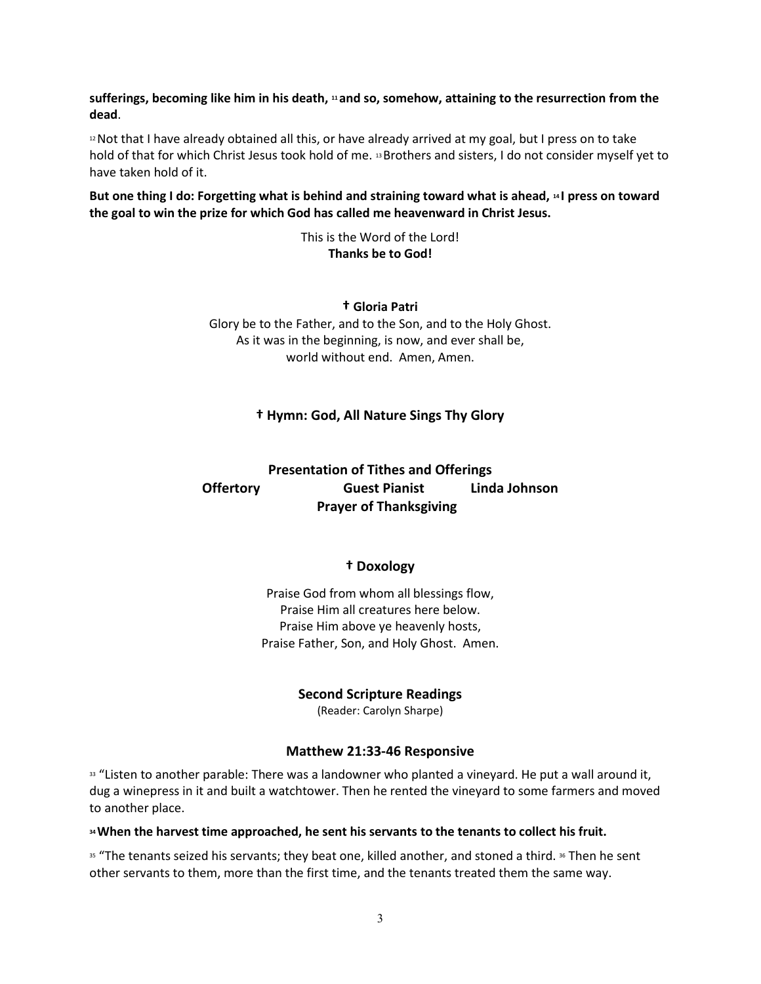**sufferings, becoming like him in his death, <sup>11</sup> and so, somehow, attaining to the resurrection from the dead**.

<sup>12</sup> Not that I have already obtained all this, or have already arrived at my goal, but I press on to take hold of that for which Christ Jesus took hold of me. <sup>13</sup>Brothers and sisters, I do not consider myself yet to have taken hold of it.

**But one thing I do: Forgetting what is behind and straining toward what is ahead, <sup>14</sup> I press on toward the goal to win the prize for which God has called me heavenward in Christ Jesus.**

> This is the Word of the Lord! **Thanks be to God!**

**† Gloria Patri** Glory be to the Father, and to the Son, and to the Holy Ghost. As it was in the beginning, is now, and ever shall be, world without end. Amen, Amen.

## **† Hymn: God, All Nature Sings Thy Glory**

# **Presentation of Tithes and Offerings Offertory Guest Pianist Linda Johnson Prayer of Thanksgiving**

#### **† Doxology**

Praise God from whom all blessings flow, Praise Him all creatures here below. Praise Him above ye heavenly hosts, Praise Father, Son, and Holy Ghost. Amen.

**Second Scripture Readings**

(Reader: Carolyn Sharpe)

#### **Matthew 21:33-46 Responsive**

33 "Listen to another parable: There was a landowner who planted a vineyard. He put a wall around it, dug a winepress in it and built a watchtower. Then he rented the vineyard to some farmers and moved to another place.

#### **<sup>34</sup>When the harvest time approached, he sent his servants to the tenants to collect his fruit.**

<sup>35</sup> "The tenants seized his servants; they beat one, killed another, and stoned a third. <sup>36</sup> Then he sent other servants to them, more than the first time, and the tenants treated them the same way.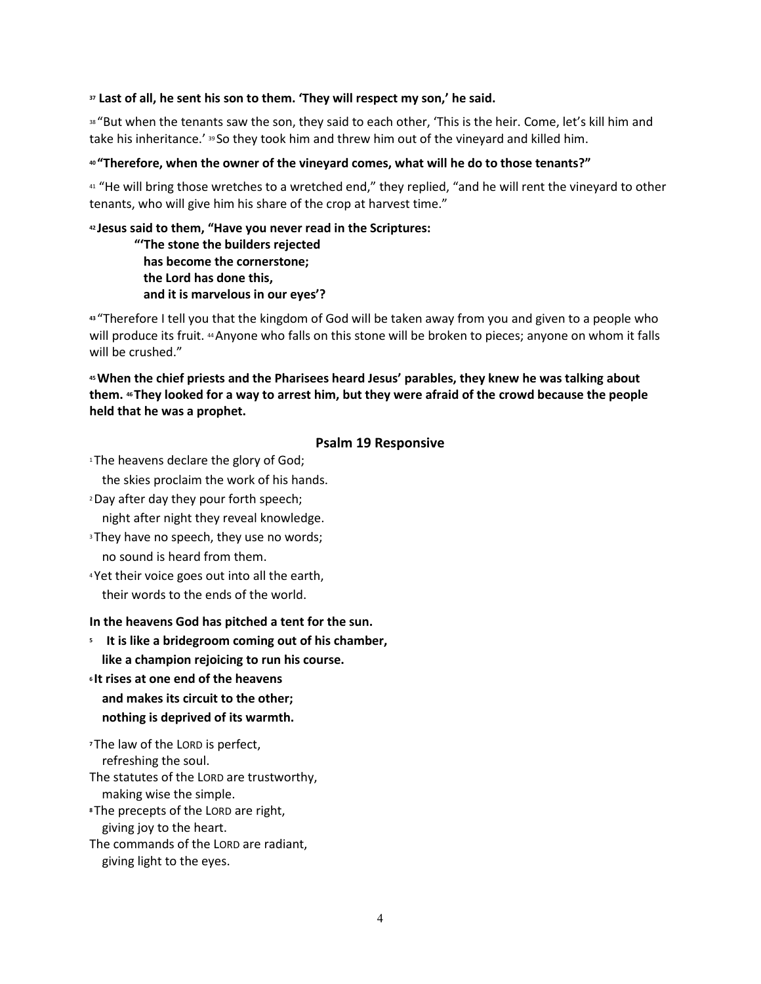#### **<sup>37</sup> Last of all, he sent his son to them. 'They will respect my son,' he said.**

38 "But when the tenants saw the son, they said to each other, 'This is the heir. Come, let's kill him and take his inheritance.' <sup>39</sup> So they took him and threw him out of the vineyard and killed him.

#### **<sup>40</sup> "Therefore, when the owner of the vineyard comes, what will he do to those tenants?"**

<sup>41</sup> "He will bring those wretches to a wretched end," they replied, "and he will rent the vineyard to other tenants, who will give him his share of the crop at harvest time."

### **<sup>42</sup> Jesus said to them, "Have you never read in the Scriptures: "'The stone the builders rejected has become the cornerstone;**

 **the Lord has done this, and it is marvelous in our eyes'?**

**<sup>43</sup>** "Therefore I tell you that the kingdom of God will be taken away from you and given to a people who will produce its fruit. <sup>44</sup> Anyone who falls on this stone will be broken to pieces; anyone on whom it falls will be crushed."

## **<sup>45</sup>When the chief priests and the Pharisees heard Jesus' parables, they knew he was talking about them. <sup>46</sup> They looked for a way to arrest him, but they were afraid of the crowd because the people held that he was a prophet.**

## **Psalm 19 Responsive**

<sup>1</sup>The heavens declare the glory of God;

the skies proclaim the work of his hands.

<sup>2</sup>Day after day they pour forth speech;

night after night they reveal knowledge.

- <sup>3</sup> They have no speech, they use no words; no sound is heard from them.
- <sup>4</sup> Yet their voice goes out into all the earth, their words to the ends of the world.

## **In the heavens God has pitched a tent for the sun.**

- **5 It is like a bridegroom coming out of his chamber,**
- **like a champion rejoicing to run his course.**
- **<sup>6</sup> It rises at one end of the heavens and makes its circuit to the other; nothing is deprived of its warmth.**

**<sup>7</sup>** The law of the LORD is perfect, refreshing the soul. The statutes of the LORD are trustworthy,

 making wise the simple. **<sup>8</sup>** The precepts of the LORD are right,

giving joy to the heart.

The commands of the LORD are radiant,

giving light to the eyes.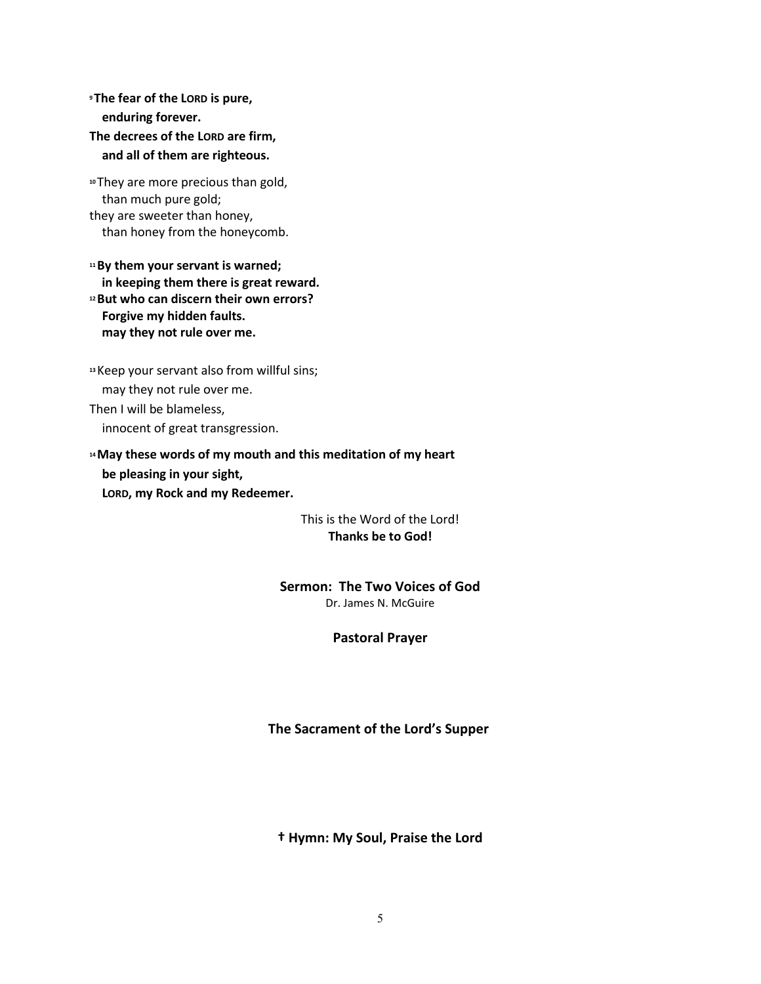**<sup>9</sup> The fear of the LORD is pure, enduring forever. The decrees of the LORD are firm, and all of them are righteous.**

**<sup>10</sup>** They are more precious than gold, than much pure gold; they are sweeter than honey, than honey from the honeycomb.

**<sup>11</sup>By them your servant is warned; in keeping them there is great reward. <sup>12</sup>But who can discern their own errors? Forgive my hidden faults. may they not rule over me.**

**<sup>13</sup>**Keep your servant also from willful sins; may they not rule over me. Then I will be blameless, innocent of great transgression.

**<sup>14</sup>May these words of my mouth and this meditation of my heart be pleasing in your sight, LORD, my Rock and my Redeemer.**

> This is the Word of the Lord! **Thanks be to God!**

**Sermon: The Two Voices of God**

Dr. James N. McGuire

**Pastoral Prayer**

**The Sacrament of the Lord's Supper**

**† Hymn: My Soul, Praise the Lord**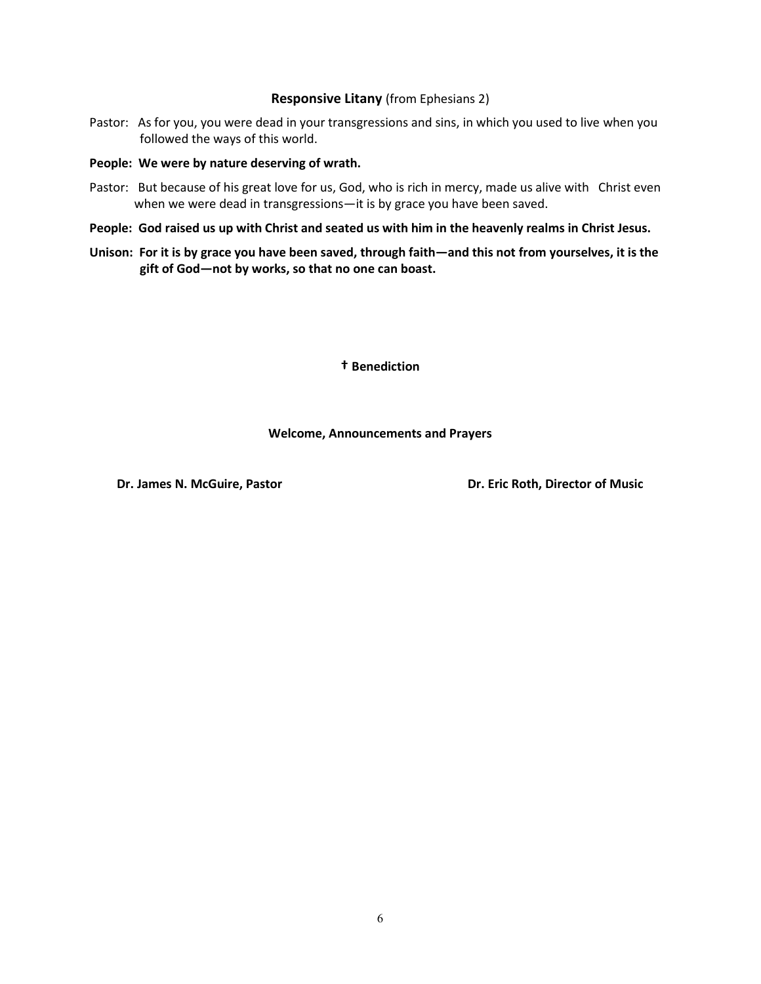#### **Responsive Litany** (from Ephesians 2)

Pastor: As for you, you were dead in your transgressions and sins, in which you used to live when you followed the ways of this world.

#### **People: We were by nature deserving of wrath.**

- Pastor: But because of his great love for us, God, who is rich in mercy, made us alive with Christ even when we were dead in transgressions—it is by grace you have been saved.
- **People: God raised us up with Christ and seated us with him in the heavenly realms in Christ Jesus.**
- **Unison: For it is by grace you have been saved, through faith—and this not from yourselves, it is the gift of God—not by works, so that no one can boast.**

**† Benediction**

#### **Welcome, Announcements and Prayers**

**Dr. James N. McGuire, Pastor Change Accord Property Control Pressure Dr. Eric Roth, Director of Music**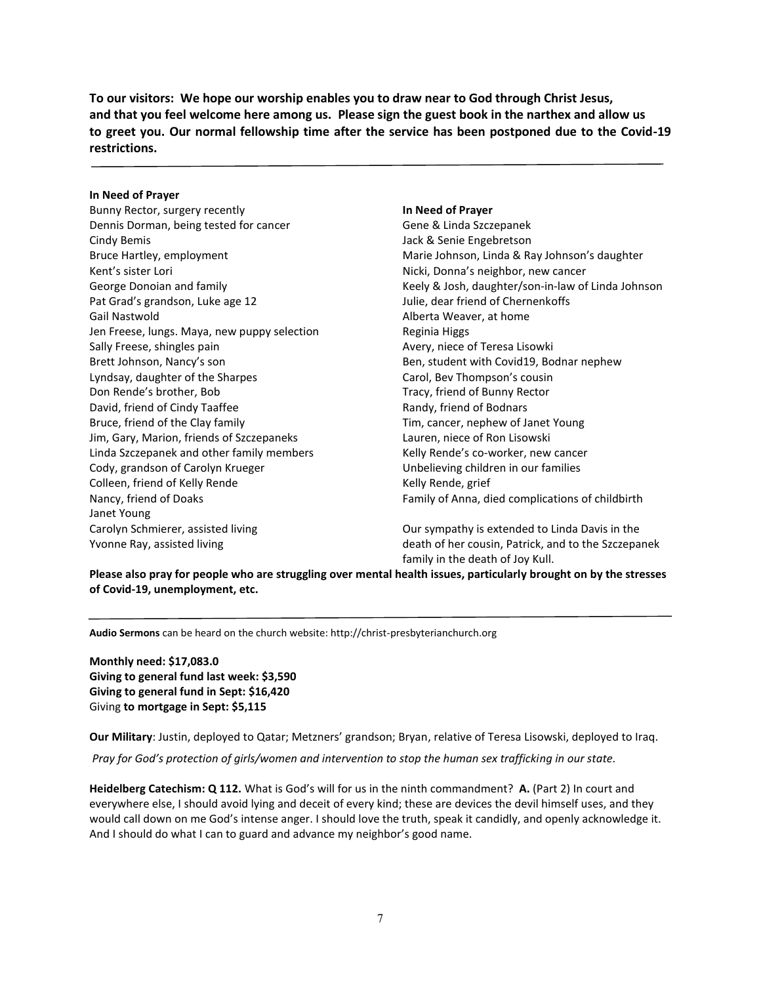**To our visitors: We hope our worship enables you to draw near to God through Christ Jesus, and that you feel welcome here among us. Please sign the guest book in the narthex and allow us to greet you. Our normal fellowship time after the service has been postponed due to the Covid-19 restrictions.**

#### **In Need of Prayer**

Bunny Rector, surgery recently Dennis Dorman, being tested for cancer Cindy Bemis Bruce Hartley, employment Kent's sister Lori George Donoian and family Pat Grad's grandson, Luke age 12 Gail Nastwold Jen Freese, lungs. Maya, new puppy selection Sally Freese, shingles pain Brett Johnson, Nancy's son Lyndsay, daughter of the Sharpes Don Rende's brother, Bob David, friend of Cindy Taaffee Bruce, friend of the Clay family Jim, Gary, Marion, friends of Szczepaneks Linda Szczepanek and other family members Cody, grandson of Carolyn Krueger Colleen, friend of Kelly Rende Nancy, friend of Doaks Janet Young Carolyn Schmierer, assisted living Yvonne Ray, assisted living

#### **In Need of Prayer**

Gene & Linda Szczepanek Jack & Senie Engebretson Marie Johnson, Linda & Ray Johnson's daughter Nicki, Donna's neighbor, new cancer Keely & Josh, daughter/son-in-law of Linda Johnson Julie, dear friend of Chernenkoffs Alberta Weaver, at home Reginia Higgs Avery, niece of Teresa Lisowki Ben, student with Covid19, Bodnar nephew Carol, Bev Thompson's cousin Tracy, friend of Bunny Rector Randy, friend of Bodnars Tim, cancer, nephew of Janet Young Lauren, niece of Ron Lisowski Kelly Rende's co-worker, new cancer Unbelieving children in our families Kelly Rende, grief Family of Anna, died complications of childbirth

Our sympathy is extended to Linda Davis in the death of her cousin, Patrick, and to the Szczepanek family in the death of Joy Kull.

**Please also pray for people who are struggling over mental health issues, particularly brought on by the stresses of Covid-19, unemployment, etc.**

**Audio Sermons** can be heard on the church website: http://christ-presbyterianchurch.org

**Monthly need: \$17,083.0 Giving to general fund last week: \$3,590 Giving to general fund in Sept: \$16,420** Giving **to mortgage in Sept: \$5,115**

**Our Military**: Justin, deployed to Qatar; Metzners' grandson; Bryan, relative of Teresa Lisowski, deployed to Iraq.

*Pray for God's protection of girls/women and intervention to stop the human sex trafficking in our state.*

**Heidelberg Catechism: Q 112.** What is God's will for us in the ninth commandment? **A.** (Part 2) In court and everywhere else, I should avoid lying and deceit of every kind; these are devices the devil himself uses, and they would call down on me God's intense anger. I should love the truth, speak it candidly, and openly acknowledge it. And I should do what I can to guard and advance my neighbor's good name.